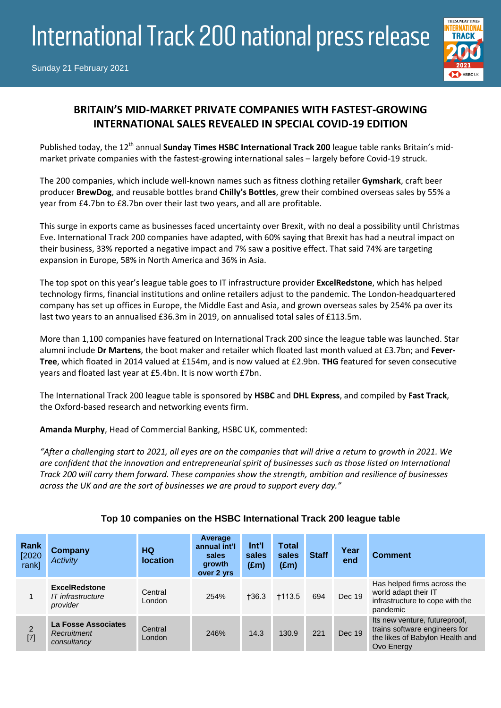# International Track 200 national press release



## **BRITAIN'S MID-MARKET PRIVATE COMPANIES WITH FASTEST-GROWING INTERNATIONAL SALES REVEALED IN SPECIAL COVID-19 EDITION**

Published today, the 12<sup>th</sup> annual **Sunday Times HSBC International Track 200** league table ranks Britain's midmarket private companies with the fastest-growing international sales – largely before Covid-19 struck.

The 200 companies, which include well-known names such as fitness clothing retailer **Gymshark**, craft beer producer **BrewDog**, and reusable bottles brand **Chilly's Bottles**, grew their combined overseas sales by 55% a year from £4.7bn to £8.7bn over their last two years, and all are profitable.

This surge in exports came as businesses faced uncertainty over Brexit, with no deal a possibility until Christmas Eve. International Track 200 companies have adapted, with 60% saying that Brexit has had a neutral impact on their business, 33% reported a negative impact and 7% saw a positive effect. That said 74% are targeting expansion in Europe, 58% in North America and 36% in Asia.

The top spot on this year's league table goes to IT infrastructure provider **ExcelRedstone**, which has helped technology firms, financial institutions and online retailers adjust to the pandemic. The London-headquartered company has set up offices in Europe, the Middle East and Asia, and grown overseas sales by 254% pa over its last two years to an annualised £36.3m in 2019, on annualised total sales of £113.5m.

More than 1,100 companies have featured on International Track 200 since the league table was launched. Star alumni include **Dr Martens**, the boot maker and retailer which floated last month valued at £3.7bn; and **Fever-Tree**, which floated in 2014 valued at £154m, and is now valued at £2.9bn. **THG** featured for seven consecutive years and floated last year at £5.4bn. It is now worth £7bn.

The International Track 200 league table is sponsored by **HSBC** and **DHL Express**, and compiled by **Fast Track**, the Oxford-based research and networking events firm.

**Amanda Murphy**, Head of Commercial Banking, HSBC UK, commented:

*"After a challenging start to 2021, all eyes are on the companies that will drive a return to growth in 2021. We are confident that the innovation and entrepreneurial spirit of businesses such as those listed on International Track 200 will carry them forward. These companies show the strength, ambition and resilience of businesses across the UK and are the sort of businesses we are proud to support every day."*

| Rank<br>[2020]<br>.<br>rankl | <b>Company</b><br><b>Activity</b>                     | HQ<br><b>location</b> | Average<br>annual int'l<br>sales<br>growth<br>over 2 yrs | $Int$ <sup>'</sup><br>sales<br>$(\text{Em})$ | <b>Total</b><br>sales<br>$(\text{Em})$ | <b>Staff</b> | Year<br>end | <b>Comment</b>                                                                                                  |
|------------------------------|-------------------------------------------------------|-----------------------|----------------------------------------------------------|----------------------------------------------|----------------------------------------|--------------|-------------|-----------------------------------------------------------------------------------------------------------------|
|                              | <b>ExcelRedstone</b><br>IT infrastructure<br>provider | Central<br>London     | 254%                                                     | $+36.3$                                      | $+113.5$                               | 694          | Dec 19      | Has helped firms across the<br>world adapt their IT<br>infrastructure to cope with the<br>pandemic              |
| $\overline{2}$<br>$[7]$      | La Fosse Associates<br>Recruitment<br>consultancy     | Central<br>London     | 246%                                                     | 14.3                                         | 130.9                                  | 221          | Dec 19      | Its new venture, futureproof,<br>trains software engineers for<br>the likes of Babylon Health and<br>Ovo Energy |

### **Top 10 companies on the HSBC International Track 200 league table**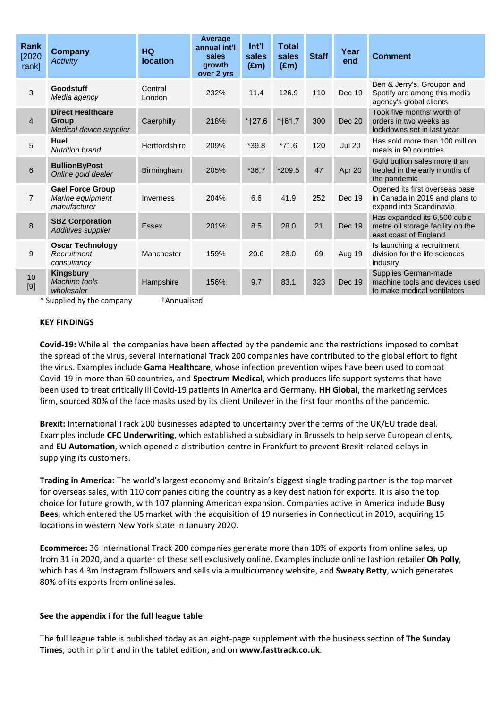| Rank<br>[2020]<br>rank] | Company<br><b>Activity</b>                                                     | <b>HQ</b><br><b>location</b> | Average<br>annual int'l<br>sales<br>growth<br>over 2 yrs | Int'l<br>sales<br>$(\text{Em})$ | <b>Total</b><br>sales<br>$(\text{Em})$ | <b>Staff</b> | Year<br>end   | <b>Comment</b>                                                                              |
|-------------------------|--------------------------------------------------------------------------------|------------------------------|----------------------------------------------------------|---------------------------------|----------------------------------------|--------------|---------------|---------------------------------------------------------------------------------------------|
| 3                       | Goodstuff<br>Media agency                                                      | Central<br>London            | 232%                                                     | 11.4                            | 126.9                                  | 110          | Dec 19        | Ben & Jerry's, Groupon and<br>Spotify are among this media<br>agency's global clients       |
| 4                       | <b>Direct Healthcare</b><br><b>Group</b><br>Medical device supplier            | Caerphilly                   | 218%                                                     | *†27.6                          | *†61.7                                 | 300          | Dec 20        | Took five months' worth of<br>orders in two weeks as<br>lockdowns set in last year          |
| 5                       | Huel<br><b>Nutrition brand</b>                                                 | Hertfordshire                | 209%                                                     | $*39.8$                         | $*71.6$                                | 120          | <b>Jul 20</b> | Has sold more than 100 million<br>meals in 90 countries                                     |
| 6                       | <b>BullionByPost</b><br>Online gold dealer                                     | Birmingham                   | 205%                                                     | $*36.7$                         | $*209.5$                               | 47           | Apr 20        | Gold bullion sales more than<br>trebled in the early months of<br>the pandemic              |
| $\overline{7}$          | <b>Gael Force Group</b><br>Marine equipment<br>manufacturer                    | Inverness                    | 204%                                                     | 6.6                             | 41.9                                   | 252          | Dec 19        | Opened its first overseas base<br>in Canada in 2019 and plans to<br>expand into Scandinavia |
| 8                       | <b>SBZ Corporation</b><br>Additives supplier                                   | <b>Essex</b>                 | 201%                                                     | 8.5                             | 28.0                                   | 21           | Dec 19        | Has expanded its 6,500 cubic<br>metre oil storage facility on the<br>east coast of England  |
| 9                       | <b>Oscar Technology</b><br>Recruitment<br>consultancy                          | Manchester                   | 159%                                                     | 20.6                            | 28.0                                   | 69           | Aug 19        | Is launching a recruitment<br>division for the life sciences<br>industry                    |
| 10<br>$[9]$             | <b>Kingsbury</b><br>Machine tools<br>wholesaler<br>$*$ Cunnliad by the company | Hampshire<br>$+$ Annualicad  | 156%                                                     | 9.7                             | 83.1                                   | 323          | Dec 19        | Supplies German-made<br>machine tools and devices used<br>to make medical ventilators       |

Supplied by the company **the fannualised** 

#### **KEY FINDINGS**

**Covid-19:** While all the companies have been affected by the pandemic and the restrictions imposed to combat the spread of the virus, several International Track 200 companies have contributed to the global effort to fight the virus. Examples include **Gama Healthcare**, whose infection prevention wipes have been used to combat Covid-19 in more than 60 countries, and **Spectrum Medical**, which produces life support systems that have been used to treat critically ill Covid-19 patients in America and Germany. **HH Global**, the marketing services firm, sourced 80% of the face masks used by its client Unilever in the first four months of the pandemic.

**Brexit:** International Track 200 businesses adapted to uncertainty over the terms of the UK/EU trade deal. Examples include **CFC Underwriting**, which established a subsidiary in Brussels to help serve European clients, and **EU Automation**, which opened a distribution centre in Frankfurt to prevent Brexit-related delays in supplying its customers.

**Trading in America:** The world's largest economy and Britain's biggest single trading partner is the top market for overseas sales, with 110 companies citing the country as a key destination for exports. It is also the top choice for future growth, with 107 planning American expansion. Companies active in America include **Busy Bees**, which entered the US market with the acquisition of 19 nurseries in Connecticut in 2019, acquiring 15 locations in western New York state in January 2020.

**Ecommerce:** 36 International Track 200 companies generate more than 10% of exports from online sales, up from 31 in 2020, and a quarter of these sell exclusively online. Examples include online fashion retailer **Oh Polly**, which has 4.3m Instagram followers and sells via a multicurrency website, and **Sweaty Betty**, which generates 80% of its exports from online sales.

#### **See the appendix i for the full league table**

The full league table is published today as an eight-page supplement with the business section of **The Sunday Times**, both in print and in the tablet edition, and on **www.fasttrack.co.uk**.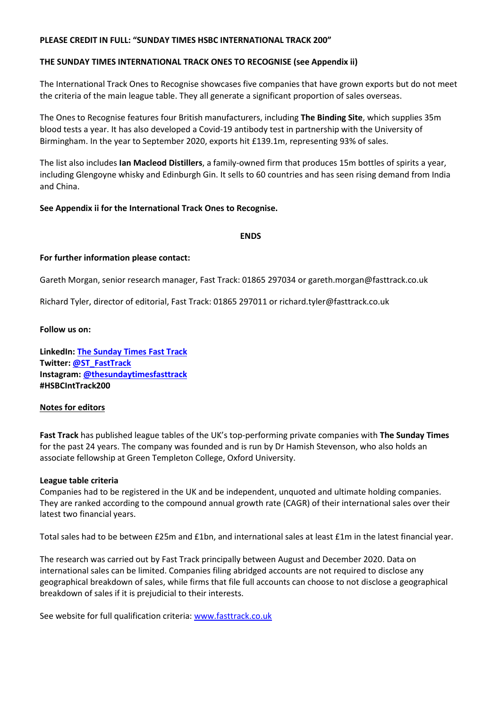#### **PLEASE CREDIT IN FULL: "SUNDAY TIMES HSBC INTERNATIONAL TRACK 200"**

#### **THE SUNDAY TIMES INTERNATIONAL TRACK ONES TO RECOGNISE (see Appendix ii)**

The International Track Ones to Recognise showcases five companies that have grown exports but do not meet the criteria of the main league table. They all generate a significant proportion of sales overseas.

The Ones to Recognise features four British manufacturers, including **The Binding Site**, which supplies 35m blood tests a year. It has also developed a Covid-19 antibody test in partnership with the University of Birmingham. In the year to September 2020, exports hit £139.1m, representing 93% of sales.

The list also includes **Ian Macleod Distillers**, a family-owned firm that produces 15m bottles of spirits a year, including Glengoyne whisky and Edinburgh Gin. It sells to 60 countries and has seen rising demand from India and China.

#### **See Appendix ii for the International Track Ones to Recognise.**

**ENDS**

#### **For further information please contact:**

Gareth Morgan, senior research manager, Fast Track: 01865 297034 or gareth.morgan@fasttrack.co.uk

Richard Tyler, director of editorial, Fast Track: 01865 297011 or richard.tyler@fasttrack.co.uk

#### **Follow us on:**

**LinkedIn[: The Sunday Times Fast Track](https://www.linkedin.com/company/sunday-times-fast-track/) Twitter: [@ST\\_FastTrack](https://twitter.com/ST_FastTrack) Instagram: [@thesundaytimesfasttrack](https://www.instagram.com/thesundaytimesfasttrack/) #HSBCIntTrack200**

#### **Notes for editors**

**Fast Track** has published league tables of the UK's top-performing private companies with **The Sunday Times** for the past 24 years. The company was founded and is run by Dr Hamish Stevenson, who also holds an associate fellowship at Green Templeton College, Oxford University.

#### **League table criteria**

Companies had to be registered in the UK and be independent, unquoted and ultimate holding companies. They are ranked according to the compound annual growth rate (CAGR) of their international sales over their latest two financial years.

Total sales had to be between £25m and £1bn, and international sales at least £1m in the latest financial year.

The research was carried out by Fast Track principally between August and December 2020. Data on international sales can be limited. Companies filing abridged accounts are not required to disclose any geographical breakdown of sales, while firms that file full accounts can choose to not disclose a geographical breakdown of sales if it is prejudicial to their interests.

See website for full qualification criteria: [www.fasttrack.co.uk](http://www.fasttrack.co.uk/)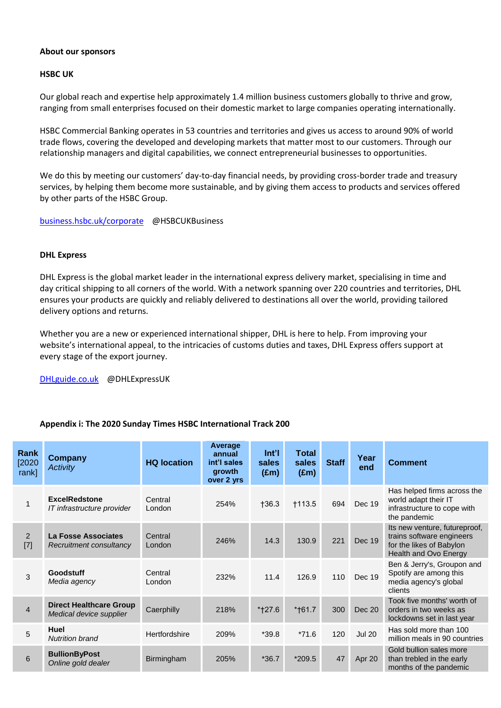#### **About our sponsors**

#### **HSBC UK**

Our global reach and expertise help approximately 1.4 million business customers globally to thrive and grow, ranging from small enterprises focused on their domestic market to large companies operating internationally.

HSBC Commercial Banking operates in 53 countries and territories and gives us access to around 90% of world trade flows, covering the developed and developing markets that matter most to our customers. Through our relationship managers and digital capabilities, we connect entrepreneurial businesses to opportunities.

We do this by meeting our customers' day-to-day financial needs, by providing cross-border trade and treasury services, by helping them become more sustainable, and by giving them access to products and services offered by other parts of the HSBC Group.

[business.hsbc.uk/corporate](file://///FTDC2/PDrive/International%20Track%20200%20in%202019/Press%20releases/business.hsbc.uk/corporate) @HSBCUKBusiness

#### **DHL Express**

DHL Express is the global market leader in the international express delivery market, specialising in time and day critical shipping to all corners of the world. With a network spanning over 220 countries and territories, DHL ensures your products are quickly and reliably delivered to destinations all over the world, providing tailored delivery options and returns.

Whether you are a new or experienced international shipper, DHL is here to help. From improving your website's international appeal, to the intricacies of customs duties and taxes, DHL Express offers support at every stage of the export journey.

[DHLguide.co.uk](http://www.dhlguide.co.uk/) @DHLExpressUK

#### **Appendix i: The 2020 Sunday Times HSBC International Track 200**

| Rank<br>[2020]<br>rank] | <b>Company</b><br><b>Activity</b>                         | <b>HQ location</b> | Average<br>annual<br>int'l sales<br>growth<br>over 2 yrs | $Int$ <sup>'</sup><br>sales<br>$(\text{Em})$ | Total<br>sales<br>$(\text{Em})$ | <b>Staff</b> | Year<br>end   | <b>Comment</b>                                                                                                  |
|-------------------------|-----------------------------------------------------------|--------------------|----------------------------------------------------------|----------------------------------------------|---------------------------------|--------------|---------------|-----------------------------------------------------------------------------------------------------------------|
|                         | <b>ExcelRedstone</b><br>IT infrastructure provider        | Central<br>London  | 254%                                                     | $+36.3$                                      | <b>†113.5</b>                   | 694          | Dec 19        | Has helped firms across the<br>world adapt their IT<br>infrastructure to cope with<br>the pandemic              |
| 2<br>$[7]$              | La Fosse Associates<br>Recruitment consultancy            | Central<br>London  | 246%                                                     | 14.3                                         | 130.9                           | 221          | <b>Dec 19</b> | Its new venture, futureproof,<br>trains software engineers<br>for the likes of Babylon<br>Health and Ovo Energy |
| 3                       | Goodstuff<br>Media agency                                 | Central<br>London  | 232%                                                     | 11.4                                         | 126.9                           | 110          | Dec 19        | Ben & Jerry's, Groupon and<br>Spotify are among this<br>media agency's global<br>clients                        |
| $\overline{4}$          | <b>Direct Healthcare Group</b><br>Medical device supplier | Caerphilly         | 218%                                                     | *†27.6                                       | *†61.7                          | 300          | Dec 20        | Took five months' worth of<br>orders in two weeks as<br>lockdowns set in last year                              |
| 5                       | Huel<br><b>Nutrition brand</b>                            | Hertfordshire      | 209%                                                     | $*39.8$                                      | $*71.6$                         | 120          | <b>Jul 20</b> | Has sold more than 100<br>million meals in 90 countries                                                         |
| 6                       | <b>BullionByPost</b><br>Online gold dealer                | Birmingham         | 205%                                                     | $*36.7$                                      | $*209.5$                        | 47           | Apr 20        | Gold bullion sales more<br>than trebled in the early<br>months of the pandemic                                  |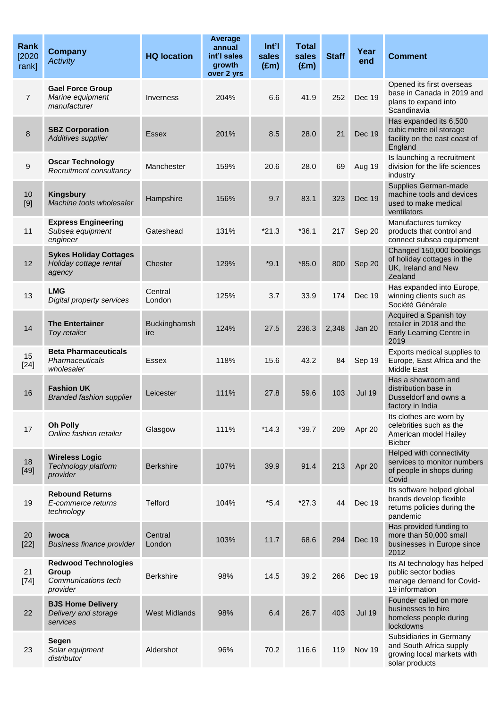| Rank<br>[2020]<br>rank] | <b>Company</b><br><b>Activity</b>                                       | <b>HQ location</b>   | <b>Average</b><br>annual<br>int'l sales<br>growth<br>over 2 yrs | Int'l<br>sales<br>$(\text{Em})$ | <b>Total</b><br>sales<br>$(\text{Em})$ | <b>Staff</b> | Year<br>end   | <b>Comment</b>                                                                                     |
|-------------------------|-------------------------------------------------------------------------|----------------------|-----------------------------------------------------------------|---------------------------------|----------------------------------------|--------------|---------------|----------------------------------------------------------------------------------------------------|
| $\overline{7}$          | <b>Gael Force Group</b><br>Marine equipment<br>manufacturer             | Inverness            | 204%                                                            | 6.6                             | 41.9                                   | 252          | Dec 19        | Opened its first overseas<br>base in Canada in 2019 and<br>plans to expand into<br>Scandinavia     |
| 8                       | <b>SBZ Corporation</b><br>Additives supplier                            | Essex                | 201%                                                            | 8.5                             | 28.0                                   | 21           | Dec 19        | Has expanded its 6,500<br>cubic metre oil storage<br>facility on the east coast of<br>England      |
| 9                       | <b>Oscar Technology</b><br>Recruitment consultancy                      | Manchester           | 159%                                                            | 20.6                            | 28.0                                   | 69           | Aug 19        | Is launching a recruitment<br>division for the life sciences<br>industry                           |
| 10<br>[9]               | <b>Kingsbury</b><br>Machine tools wholesaler                            | Hampshire            | 156%                                                            | 9.7                             | 83.1                                   | 323          | Dec 19        | Supplies German-made<br>machine tools and devices<br>used to make medical<br>ventilators           |
| 11                      | <b>Express Engineering</b><br>Subsea equipment<br>engineer              | Gateshead            | 131%                                                            | $*21.3$                         | $*36.1$                                | 217          | Sep 20        | Manufactures turnkey<br>products that control and<br>connect subsea equipment                      |
| 12                      | <b>Sykes Holiday Cottages</b><br>Holiday cottage rental<br>agency       | Chester              | 129%                                                            | $*9.1$                          | $*85.0$                                | 800          | Sep 20        | Changed 150,000 bookings<br>of holiday cottages in the<br>UK, Ireland and New<br>Zealand           |
| 13                      | <b>LMG</b><br>Digital property services                                 | Central<br>London    | 125%                                                            | 3.7                             | 33.9                                   | 174          | Dec 19        | Has expanded into Europe,<br>winning clients such as<br>Société Générale                           |
| 14                      | <b>The Entertainer</b><br>Toy retailer                                  | Buckinghamsh<br>ire  | 124%                                                            | 27.5                            | 236.3                                  | 2,348        | Jan 20        | Acquired a Spanish toy<br>retailer in 2018 and the<br>Early Learning Centre in<br>2019             |
| 15<br>$[24]$            | <b>Beta Pharmaceuticals</b><br>Pharmaceuticals<br>wholesaler            | Essex                | 118%                                                            | 15.6                            | 43.2                                   | 84           | Sep 19        | Exports medical supplies to<br>Europe, East Africa and the<br><b>Middle East</b>                   |
| 16                      | <b>Fashion UK</b><br><b>Branded fashion supplier</b>                    | Leicester            | 111%                                                            | 27.8                            | 59.6                                   | 103          | <b>Jul 19</b> | Has a showroom and<br>distribution base in<br>Dusseldorf and owns a<br>factory in India            |
| 17                      | Oh Polly<br>Online fashion retailer                                     | Glasgow              | 111%                                                            | $*14.3$                         | $*39.7$                                | 209          | Apr 20        | Its clothes are worn by<br>celebrities such as the<br>American model Hailey<br><b>Bieber</b>       |
| 18<br>$[49]$            | <b>Wireless Logic</b><br>Technology platform<br>provider                | <b>Berkshire</b>     | 107%                                                            | 39.9                            | 91.4                                   | 213          | Apr 20        | Helped with connectivity<br>services to monitor numbers<br>of people in shops during<br>Covid      |
| 19                      | <b>Rebound Returns</b><br>E-commerce returns<br>technology              | <b>Telford</b>       | 104%                                                            | $*5.4$                          | $*27.3$                                | 44           | <b>Dec 19</b> | Its software helped global<br>brands develop flexible<br>returns policies during the<br>pandemic   |
| 20<br>$[22]$            | iwoca<br><b>Business finance provider</b>                               | Central<br>London    | 103%                                                            | 11.7                            | 68.6                                   | 294          | Dec 19        | Has provided funding to<br>more than 50,000 small<br>businesses in Europe since<br>2012            |
| 21<br>$[74]$            | <b>Redwood Technologies</b><br>Group<br>Communications tech<br>provider | <b>Berkshire</b>     | 98%                                                             | 14.5                            | 39.2                                   | 266          | Dec 19        | Its AI technology has helped<br>public sector bodies<br>manage demand for Covid-<br>19 information |
| 22                      | <b>BJS Home Delivery</b><br>Delivery and storage<br>services            | <b>West Midlands</b> | 98%                                                             | 6.4                             | 26.7                                   | 403          | <b>Jul 19</b> | Founder called on more<br>businesses to hire<br>homeless people during<br>lockdowns                |
| 23                      | Segen<br>Solar equipment<br>distributor                                 | Aldershot            | 96%                                                             | 70.2                            | 116.6                                  | 119          | Nov 19        | Subsidiaries in Germany<br>and South Africa supply<br>growing local markets with<br>solar products |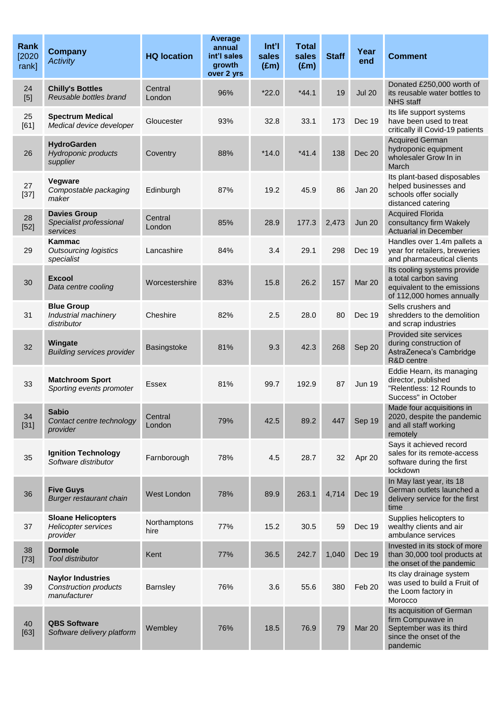| <b>Rank</b><br>[2020]<br>rank] | <b>Company</b><br><b>Activity</b>                                   | <b>HQ location</b>   | Average<br>annual<br>int'l sales<br>growth<br>over 2 yrs | Int'l<br>sales<br>$(\text{Em})$ | <b>Total</b><br>sales<br>$(\text{Em})$ | <b>Staff</b> | Year<br>end   | <b>Comment</b>                                                                                                   |
|--------------------------------|---------------------------------------------------------------------|----------------------|----------------------------------------------------------|---------------------------------|----------------------------------------|--------------|---------------|------------------------------------------------------------------------------------------------------------------|
| 24<br>[5]                      | <b>Chilly's Bottles</b><br>Reusable bottles brand                   | Central<br>London    | 96%                                                      | $*22.0$                         | $*44.1$                                | 19           | <b>Jul 20</b> | Donated £250,000 worth of<br>its reusable water bottles to<br><b>NHS staff</b>                                   |
| 25<br>[61]                     | <b>Spectrum Medical</b><br>Medical device developer                 | Gloucester           | 93%                                                      | 32.8                            | 33.1                                   | 173          | Dec 19        | Its life support systems<br>have been used to treat<br>critically ill Covid-19 patients                          |
| 26                             | <b>HydroGarden</b><br><b>Hydroponic products</b><br>supplier        | Coventry             | 88%                                                      | $*14.0$                         | $*41.4$                                | 138          | <b>Dec 20</b> | <b>Acquired German</b><br>hydroponic equipment<br>wholesaler Grow In in<br>March                                 |
| 27<br>$[37]$                   | Vegware<br>Compostable packaging<br>maker                           | Edinburgh            | 87%                                                      | 19.2                            | 45.9                                   | 86           | Jan 20        | Its plant-based disposables<br>helped businesses and<br>schools offer socially<br>distanced catering             |
| 28<br>$[52]$                   | <b>Davies Group</b><br>Specialist professional<br>services          | Central<br>London    | 85%                                                      | 28.9                            | 177.3                                  | 2,473        | <b>Jun 20</b> | <b>Acquired Florida</b><br>consultancy firm Wakely<br><b>Actuarial in December</b>                               |
| 29                             | Kammac<br><b>Outsourcing logistics</b><br>specialist                | Lancashire           | 84%                                                      | 3.4                             | 29.1                                   | 298          | Dec 19        | Handles over 1.4m pallets a<br>year for retailers, breweries<br>and pharmaceutical clients                       |
| 30                             | <b>Excool</b><br>Data centre cooling                                | Worcestershire       | 83%                                                      | 15.8                            | 26.2                                   | 157          | <b>Mar 20</b> | Its cooling systems provide<br>a total carbon saving<br>equivalent to the emissions<br>of 112,000 homes annually |
| 31                             | <b>Blue Group</b><br>Industrial machinery<br>distributor            | Cheshire             | 82%                                                      | 2.5                             | 28.0                                   | 80           | Dec 19        | Sells crushers and<br>shredders to the demolition<br>and scrap industries                                        |
| 32                             | Wingate<br><b>Building services provider</b>                        | Basingstoke          | 81%                                                      | 9.3                             | 42.3                                   | 268          | Sep 20        | Provided site services<br>during construction of<br>AstraZeneca's Cambridge<br>R&D centre                        |
| 33                             | <b>Matchroom Sport</b><br>Sporting events promoter                  | Essex                | 81%                                                      | 99.7                            | 192.9                                  | 87           | <b>Jun 19</b> | Eddie Hearn, its managing<br>director, published<br>"Relentless: 12 Rounds to<br>Success" in October             |
| 34<br>$[31]$                   | <b>Sabio</b><br>Contact centre technology<br>provider               | Central<br>London    | 79%                                                      | 42.5                            | 89.2                                   | 447          | Sep 19        | Made four acquisitions in<br>2020, despite the pandemic<br>and all staff working<br>remotely                     |
| 35                             | <b>Ignition Technology</b><br>Software distributor                  | Farnborough          | 78%                                                      | 4.5                             | 28.7                                   | 32           | Apr 20        | Says it achieved record<br>sales for its remote-access<br>software during the first<br>lockdown                  |
| 36                             | <b>Five Guys</b><br>Burger restaurant chain                         | West London          | 78%                                                      | 89.9                            | 263.1                                  | 4,714        | Dec 19        | In May last year, its 18<br>German outlets launched a<br>delivery service for the first<br>time                  |
| 37                             | <b>Sloane Helicopters</b><br><b>Helicopter services</b><br>provider | Northamptons<br>hire | 77%                                                      | 15.2                            | 30.5                                   | 59           | Dec 19        | Supplies helicopters to<br>wealthy clients and air<br>ambulance services                                         |
| 38<br>$[73]$                   | <b>Dormole</b><br><b>Tool distributor</b>                           | Kent                 | 77%                                                      | 36.5                            | 242.7                                  | 1,040        | Dec 19        | Invested in its stock of more<br>than 30,000 tool products at<br>the onset of the pandemic                       |
| 39                             | <b>Naylor Industries</b><br>Construction products<br>manufacturer   | Barnsley             | 76%                                                      | 3.6                             | 55.6                                   | 380          | Feb 20        | Its clay drainage system<br>was used to build a Fruit of<br>the Loom factory in<br>Morocco                       |
| 40<br>$[63]$                   | <b>QBS Software</b><br>Software delivery platform                   | Wembley              | 76%                                                      | 18.5                            | 76.9                                   | 79           | <b>Mar 20</b> | Its acquisition of German<br>firm Compuwave in<br>September was its third<br>since the onset of the<br>pandemic  |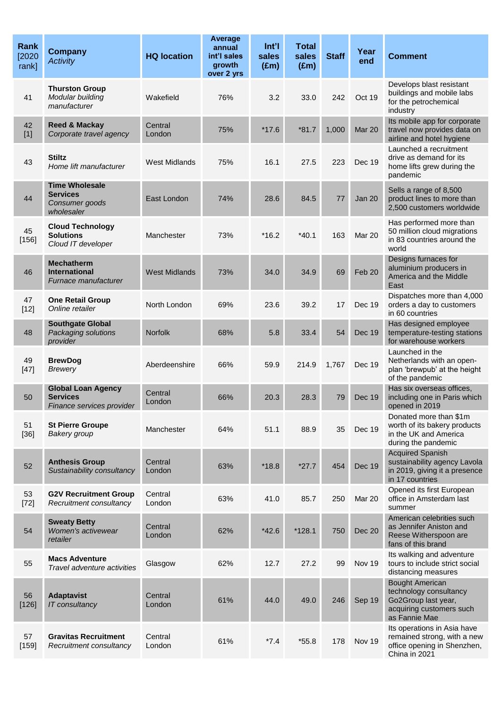| <b>Rank</b><br>[2020]<br>rank] | <b>Company</b><br><b>Activity</b>                                         | <b>HQ location</b>   | Average<br>annual<br>int'l sales<br>growth<br>over 2 yrs | Int <sup>7</sup><br>sales<br>$(\text{Em})$ | <b>Total</b><br>sales<br>$(\text{Em})$ | <b>Staff</b> | Year<br>end   | <b>Comment</b>                                                                                                       |
|--------------------------------|---------------------------------------------------------------------------|----------------------|----------------------------------------------------------|--------------------------------------------|----------------------------------------|--------------|---------------|----------------------------------------------------------------------------------------------------------------------|
| 41                             | <b>Thurston Group</b><br>Modular building<br>manufacturer                 | Wakefield            | 76%                                                      | 3.2                                        | 33.0                                   | 242          | Oct 19        | Develops blast resistant<br>buildings and mobile labs<br>for the petrochemical<br>industry                           |
| 42<br>$[1]$                    | <b>Reed &amp; Mackay</b><br>Corporate travel agency                       | Central<br>London    | 75%                                                      | $*17.6$                                    | $*81.7$                                | 1,000        | Mar 20        | Its mobile app for corporate<br>travel now provides data on<br>airline and hotel hygiene                             |
| 43                             | <b>Stiltz</b><br>Home lift manufacturer                                   | <b>West Midlands</b> | 75%                                                      | 16.1                                       | 27.5                                   | 223          | Dec 19        | Launched a recruitment<br>drive as demand for its<br>home lifts grew during the<br>pandemic                          |
| 44                             | <b>Time Wholesale</b><br><b>Services</b><br>Consumer goods<br>wholesaler  | East London          | 74%                                                      | 28.6                                       | 84.5                                   | 77           | <b>Jan 20</b> | Sells a range of 8,500<br>product lines to more than<br>2,500 customers worldwide                                    |
| 45<br>$[156]$                  | <b>Cloud Technology</b><br><b>Solutions</b><br>Cloud IT developer         | Manchester           | 73%                                                      | $*16.2$                                    | $*40.1$                                | 163          | Mar 20        | Has performed more than<br>50 million cloud migrations<br>in 83 countries around the<br>world                        |
| 46                             | <b>Mechatherm</b><br><b>International</b><br>Furnace manufacturer         | <b>West Midlands</b> | 73%                                                      | 34.0                                       | 34.9                                   | 69           | Feb 20        | Designs furnaces for<br>aluminium producers in<br>America and the Middle<br>East                                     |
| 47<br>$[12]$                   | <b>One Retail Group</b><br>Online retailer                                | North London         | 69%                                                      | 23.6                                       | 39.2                                   | 17           | Dec 19        | Dispatches more than 4,000<br>orders a day to customers<br>in 60 countries                                           |
| 48                             | <b>Southgate Global</b><br>Packaging solutions<br>provider                | <b>Norfolk</b>       | 68%                                                      | 5.8                                        | 33.4                                   | 54           | Dec 19        | Has designed employee<br>temperature-testing stations<br>for warehouse workers                                       |
| 49<br>$[47]$                   | <b>BrewDog</b><br><b>Brewery</b>                                          | Aberdeenshire        | 66%                                                      | 59.9                                       | 214.9                                  | 1.767        | <b>Dec 19</b> | Launched in the<br>Netherlands with an open-<br>plan 'brewpub' at the height<br>of the pandemic                      |
| 50                             | <b>Global Loan Agency</b><br><b>Services</b><br>Finance services provider | Central<br>London    | 66%                                                      | 20.3                                       | 28.3                                   | 79           | Dec 19        | Has six overseas offices,<br>including one in Paris which<br>opened in 2019                                          |
| 51<br>$[36]$                   | <b>St Pierre Groupe</b><br>Bakery group                                   | Manchester           | 64%                                                      | 51.1                                       | 88.9                                   | 35           | Dec 19        | Donated more than \$1m<br>worth of its bakery products<br>in the UK and America<br>during the pandemic               |
| 52                             | <b>Anthesis Group</b><br>Sustainability consultancy                       | Central<br>London    | 63%                                                      | $*18.8$                                    | $*27.7$                                | 454          | <b>Dec 19</b> | <b>Acquired Spanish</b><br>sustainability agency Lavola<br>in 2019, giving it a presence<br>in 17 countries          |
| 53<br>$[72]$                   | <b>G2V Recruitment Group</b><br>Recruitment consultancy                   | Central<br>London    | 63%                                                      | 41.0                                       | 85.7                                   | 250          | <b>Mar 20</b> | Opened its first European<br>office in Amsterdam last<br>summer                                                      |
| 54                             | <b>Sweaty Betty</b><br>Women's activewear<br>retailer                     | Central<br>London    | 62%                                                      | $*42.6$                                    | $*128.1$                               | 750          | <b>Dec 20</b> | American celebrities such<br>as Jennifer Aniston and<br>Reese Witherspoon are<br>fans of this brand                  |
| 55                             | <b>Macs Adventure</b><br>Travel adventure activities                      | Glasgow              | 62%                                                      | 12.7                                       | 27.2                                   | 99           | Nov 19        | Its walking and adventure<br>tours to include strict social<br>distancing measures                                   |
| 56<br>$[126]$                  | <b>Adaptavist</b><br>IT consultancy                                       | Central<br>London    | 61%                                                      | 44.0                                       | 49.0                                   | 246          | Sep 19        | <b>Bought American</b><br>technology consultancy<br>Go2Group last year,<br>acquiring customers such<br>as Fannie Mae |
| 57<br>[159]                    | <b>Gravitas Recruitment</b><br>Recruitment consultancy                    | Central<br>London    | 61%                                                      | $*7.4$                                     | $*55.8$                                | 178          | Nov 19        | Its operations in Asia have<br>remained strong, with a new<br>office opening in Shenzhen,<br>China in 2021           |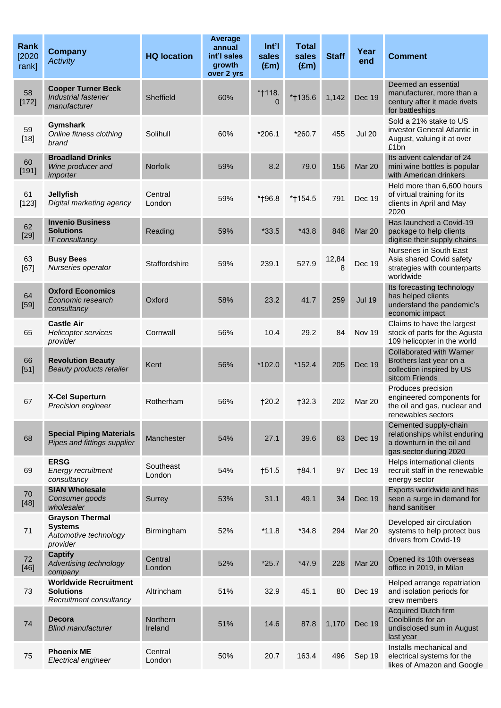| <b>Rank</b><br>[2020]<br>rank] | <b>Company</b><br><b>Activity</b>                                             | <b>HQ location</b>         | Average<br>annual<br>int'l sales<br>growth<br>over 2 yrs | Int'l<br>sales<br>$(\text{Em})$ | <b>Total</b><br>sales<br>$(\text{Em})$ | <b>Staff</b> | Year<br>end   | <b>Comment</b>                                                                                                |
|--------------------------------|-------------------------------------------------------------------------------|----------------------------|----------------------------------------------------------|---------------------------------|----------------------------------------|--------------|---------------|---------------------------------------------------------------------------------------------------------------|
| 58<br>[172]                    | <b>Cooper Turner Beck</b><br>Industrial fastener<br>manufacturer              | Sheffield                  | 60%                                                      | *†118.<br>$\Omega$              | *†135.6                                | 1,142        | <b>Dec 19</b> | Deemed an essential<br>manufacturer, more than a<br>century after it made rivets<br>for battleships           |
| 59<br>$[18]$                   | Gymshark<br>Online fitness clothing<br>brand                                  | Solihull                   | 60%                                                      | $*206.1$                        | $*260.7$                               | 455          | <b>Jul 20</b> | Sold a 21% stake to US<br>investor General Atlantic in<br>August, valuing it at over<br>£1bn                  |
| 60<br>$[191]$                  | <b>Broadland Drinks</b><br>Wine producer and<br>importer                      | <b>Norfolk</b>             | 59%                                                      | 8.2                             | 79.0                                   | 156          | Mar 20        | Its advent calendar of 24<br>mini wine bottles is popular<br>with American drinkers                           |
| 61<br>[123]                    | <b>Jellyfish</b><br>Digital marketing agency                                  | Central<br>London          | 59%                                                      | *†96.8                          | *†154.5                                | 791          | Dec 19        | Held more than 6,600 hours<br>of virtual training for its<br>clients in April and May<br>2020                 |
| 62<br>$[29]$                   | <b>Invenio Business</b><br><b>Solutions</b><br><b>IT</b> consultancy          | Reading                    | 59%                                                      | $*33.5$                         | $*43.8$                                | 848          | Mar 20        | Has launched a Covid-19<br>package to help clients<br>digitise their supply chains                            |
| 63<br>[67]                     | <b>Busy Bees</b><br>Nurseries operator                                        | Staffordshire              | 59%                                                      | 239.1                           | 527.9                                  | 12,84        | Dec 19        | Nurseries in South East<br>Asia shared Covid safety<br>strategies with counterparts<br>worldwide              |
| 64<br>$[59]$                   | <b>Oxford Economics</b><br>Economic research<br>consultancy                   | Oxford                     | 58%                                                      | 23.2                            | 41.7                                   | 259          | <b>Jul 19</b> | Its forecasting technology<br>has helped clients<br>understand the pandemic's<br>economic impact              |
| 65                             | <b>Castle Air</b><br>Helicopter services<br>provider                          | Cornwall                   | 56%                                                      | 10.4                            | 29.2                                   | 84           | Nov 19        | Claims to have the largest<br>stock of parts for the Agusta<br>109 helicopter in the world                    |
| 66<br>$[51]$                   | <b>Revolution Beauty</b><br>Beauty products retailer                          | Kent                       | 56%                                                      | $*102.0$                        | $*152.4$                               | 205          | Dec 19        | <b>Collaborated with Warner</b><br>Brothers last year on a<br>collection inspired by US<br>sitcom Friends     |
| 67                             | <b>X-Cel Superturn</b><br>Precision engineer                                  | Rotherham                  | 56%                                                      | 120.2                           | †32.3                                  | 202          | Mar 20        | Produces precision<br>engineered components for<br>the oil and gas, nuclear and<br>renewables sectors         |
| 68                             | <b>Special Piping Materials</b><br>Pipes and fittings supplier                | Manchester                 | 54%                                                      | 27.1                            | 39.6                                   | 63           | Dec 19        | Cemented supply-chain<br>relationships whilst enduring<br>a downturn in the oil and<br>gas sector during 2020 |
| 69                             | <b>ERSG</b><br>Energy recruitment<br>consultancy                              | Southeast<br>London        | 54%                                                      | †51.5                           | †84.1                                  | 97           | Dec 19        | Helps international clients<br>recruit staff in the renewable<br>energy sector                                |
| 70<br>$[48]$                   | <b>SIAN Wholesale</b><br>Consumer goods<br>wholesaler                         | Surrey                     | 53%                                                      | 31.1                            | 49.1                                   | 34           | <b>Dec 19</b> | Exports worldwide and has<br>seen a surge in demand for<br>hand sanitiser                                     |
| 71                             | <b>Grayson Thermal</b><br><b>Systems</b><br>Automotive technology<br>provider | Birmingham                 | 52%                                                      | $*11.8$                         | $*34.8$                                | 294          | <b>Mar 20</b> | Developed air circulation<br>systems to help protect bus<br>drivers from Covid-19                             |
| 72<br>$[46]$                   | <b>Captify</b><br>Advertising technology<br>company                           | Central<br>London          | 52%                                                      | $*25.7$                         | $*47.9$                                | 228          | Mar 20        | Opened its 10th overseas<br>office in 2019, in Milan                                                          |
| 73                             | <b>Worldwide Recruitment</b><br><b>Solutions</b><br>Recruitment consultancy   | Altrincham                 | 51%                                                      | 32.9                            | 45.1                                   | 80           | Dec 19        | Helped arrange repatriation<br>and isolation periods for<br>crew members                                      |
| 74                             | <b>Decora</b><br><b>Blind manufacturer</b>                                    | <b>Northern</b><br>Ireland | 51%                                                      | 14.6                            | 87.8                                   | 1,170        | Dec 19        | <b>Acquired Dutch firm</b><br>Coolblinds for an<br>undisclosed sum in August<br>last year                     |
| 75                             | <b>Phoenix ME</b><br>Electrical engineer                                      | Central<br>London          | 50%                                                      | 20.7                            | 163.4                                  | 496          | Sep 19        | Installs mechanical and<br>electrical systems for the<br>likes of Amazon and Google                           |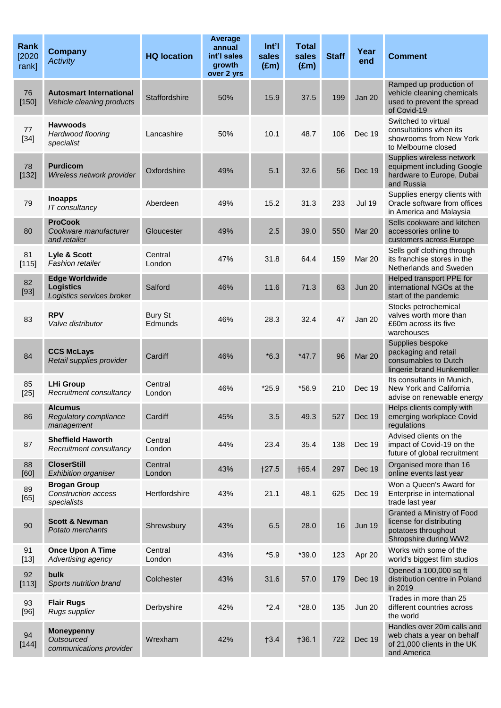| <b>Rank</b><br>[2020]<br>rank] | <b>Company</b><br><b>Activity</b>                                      | <b>HQ location</b>        | Average<br>annual<br>int'l sales<br>growth<br>over 2 yrs | Int'l<br>sales<br>$(\text{Em})$ | <b>Total</b><br>sales<br>$(\text{Em})$ | <b>Staff</b> | Year<br>end   | <b>Comment</b>                                                                                         |
|--------------------------------|------------------------------------------------------------------------|---------------------------|----------------------------------------------------------|---------------------------------|----------------------------------------|--------------|---------------|--------------------------------------------------------------------------------------------------------|
| 76<br>[150]                    | <b>Autosmart International</b><br>Vehicle cleaning products            | Staffordshire             | 50%                                                      | 15.9                            | 37.5                                   | 199          | <b>Jan 20</b> | Ramped up production of<br>vehicle cleaning chemicals<br>used to prevent the spread<br>of Covid-19     |
| 77<br>$[34]$                   | <b>Havwoods</b><br>Hardwood flooring<br>specialist                     | Lancashire                | 50%                                                      | 10.1                            | 48.7                                   | 106          | Dec 19        | Switched to virtual<br>consultations when its<br>showrooms from New York<br>to Melbourne closed        |
| 78<br>[132]                    | <b>Purdicom</b><br>Wireless network provider                           | Oxfordshire               | 49%                                                      | 5.1                             | 32.6                                   | 56           | <b>Dec 19</b> | Supplies wireless network<br>equipment including Google<br>hardware to Europe, Dubai<br>and Russia     |
| 79                             | <b>Inoapps</b><br>IT consultancy                                       | Aberdeen                  | 49%                                                      | 15.2                            | 31.3                                   | 233          | <b>Jul 19</b> | Supplies energy clients with<br>Oracle software from offices<br>in America and Malaysia                |
| 80                             | <b>ProCook</b><br>Cookware manufacturer<br>and retailer                | Gloucester                | 49%                                                      | 2.5                             | 39.0                                   | 550          | Mar 20        | Sells cookware and kitchen<br>accessories online to<br>customers across Europe                         |
| 81<br>[115]                    | Lyle & Scott<br>Fashion retailer                                       | Central<br>London         | 47%                                                      | 31.8                            | 64.4                                   | 159          | Mar 20        | Sells golf clothing through<br>its franchise stores in the<br>Netherlands and Sweden                   |
| 82<br>$[93]$                   | <b>Edge Worldwide</b><br><b>Logistics</b><br>Logistics services broker | Salford                   | 46%                                                      | 11.6                            | 71.3                                   | 63           | <b>Jun 20</b> | Helped transport PPE for<br>international NGOs at the<br>start of the pandemic                         |
| 83                             | <b>RPV</b><br>Valve distributor                                        | <b>Bury St</b><br>Edmunds | 46%                                                      | 28.3                            | 32.4                                   | 47           | <b>Jan 20</b> | Stocks petrochemical<br>valves worth more than<br>£60m across its five<br>warehouses                   |
| 84                             | <b>CCS McLays</b><br>Retail supplies provider                          | Cardiff                   | 46%                                                      | $*6.3$                          | $*47.7$                                | 96           | Mar 20        | Supplies bespoke<br>packaging and retail<br>consumables to Dutch<br>lingerie brand Hunkemöller         |
| 85<br>$[25]$                   | <b>LHi Group</b><br>Recruitment consultancy                            | Central<br>London         | 46%                                                      | $*25.9$                         | $*56.9$                                | 210          | Dec 19        | Its consultants in Munich,<br>New York and California<br>advise on renewable energy                    |
| 86                             | <b>Alcumus</b><br>Regulatory compliance<br>management                  | Cardiff                   | 45%                                                      | 3.5                             | 49.3                                   | 527          | Dec 19        | Helps clients comply with<br>emerging workplace Covid<br>regulations                                   |
| 87                             | <b>Sheffield Haworth</b><br>Recruitment consultancy                    | Central<br>London         | 44%                                                      | 23.4                            | 35.4                                   | 138          | Dec 19        | Advised clients on the<br>impact of Covid-19 on the<br>future of global recruitment                    |
| 88<br>[60]                     | <b>CloserStill</b><br>Exhibition organiser                             | Central<br>London         | 43%                                                      | †27.5                           | †65.4                                  | 297          | Dec 19        | Organised more than 16<br>online events last year                                                      |
| 89<br>$[65]$                   | <b>Brogan Group</b><br><b>Construction access</b><br>specialists       | Hertfordshire             | 43%                                                      | 21.1                            | 48.1                                   | 625          | Dec 19        | Won a Queen's Award for<br>Enterprise in international<br>trade last year                              |
| 90                             | <b>Scott &amp; Newman</b><br>Potato merchants                          | Shrewsbury                | 43%                                                      | 6.5                             | 28.0                                   | 16           | <b>Jun 19</b> | Granted a Ministry of Food<br>license for distributing<br>potatoes throughout<br>Shropshire during WW2 |
| 91<br>$[13]$                   | <b>Once Upon A Time</b><br>Advertising agency                          | Central<br>London         | 43%                                                      | $*5.9$                          | $*39.0$                                | 123          | Apr 20        | Works with some of the<br>world's biggest film studios                                                 |
| 92<br>[113]                    | bulk<br>Sports nutrition brand                                         | Colchester                | 43%                                                      | 31.6                            | 57.0                                   | 179          | Dec 19        | Opened a 100,000 sq ft<br>distribution centre in Poland<br>in 2019                                     |
| 93<br>$[96]$                   | <b>Flair Rugs</b><br>Rugs supplier                                     | Derbyshire                | 42%                                                      | $*2.4$                          | $*28.0$                                | 135          | <b>Jun 20</b> | Trades in more than 25<br>different countries across<br>the world                                      |
| 94<br>[144]                    | <b>Moneypenny</b><br>Outsourced<br>communications provider             | Wrexham                   | 42%                                                      | †3.4                            | †36.1                                  | 722          | Dec 19        | Handles over 20m calls and<br>web chats a year on behalf<br>of 21,000 clients in the UK<br>and America |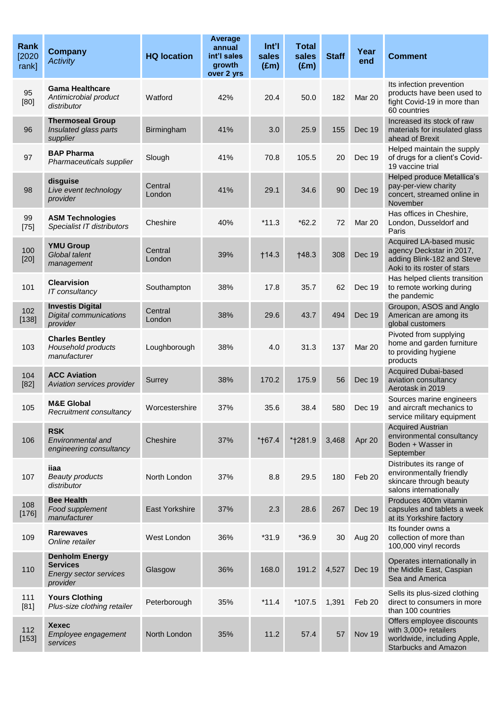| Rank<br>[2020]<br>rank] | <b>Company</b><br><b>Activity</b>                                                     | <b>HQ location</b>    | Average<br>annual<br>int'l sales<br>growth<br>over 2 yrs | Int'l<br>sales<br>$(\text{Em})$ | <b>Total</b><br>sales<br>$(\text{Em})$ | <b>Staff</b> | Year<br>end   | <b>Comment</b>                                                                                                   |
|-------------------------|---------------------------------------------------------------------------------------|-----------------------|----------------------------------------------------------|---------------------------------|----------------------------------------|--------------|---------------|------------------------------------------------------------------------------------------------------------------|
| 95<br>[80]              | <b>Gama Healthcare</b><br>Antimicrobial product<br>distributor                        | Watford               | 42%                                                      | 20.4                            | 50.0                                   | 182          | Mar 20        | Its infection prevention<br>products have been used to<br>fight Covid-19 in more than<br>60 countries            |
| 96                      | <b>Thermoseal Group</b><br>Insulated glass parts<br>supplier                          | Birmingham            | 41%                                                      | 3.0                             | 25.9                                   | 155          | Dec 19        | Increased its stock of raw<br>materials for insulated glass<br>ahead of Brexit                                   |
| 97                      | <b>BAP Pharma</b><br>Pharmaceuticals supplier                                         | Slough                | 41%                                                      | 70.8                            | 105.5                                  | 20           | Dec 19        | Helped maintain the supply<br>of drugs for a client's Covid-<br>19 vaccine trial                                 |
| 98                      | disguise<br>Live event technology<br>provider                                         | Central<br>London     | 41%                                                      | 29.1                            | 34.6                                   | 90           | <b>Dec 19</b> | Helped produce Metallica's<br>pay-per-view charity<br>concert, streamed online in<br>November                    |
| 99<br>$[75]$            | <b>ASM Technologies</b><br>Specialist IT distributors                                 | Cheshire              | 40%                                                      | $*11.3$                         | $*62.2$                                | 72           | Mar 20        | Has offices in Cheshire,<br>London, Dusseldorf and<br>Paris                                                      |
| 100<br>$[20]$           | <b>YMU Group</b><br>Global talent<br>management                                       | Central<br>London     | 39%                                                      | †14.3                           | †48.3                                  | 308          | Dec 19        | Acquired LA-based music<br>agency Deckstar in 2017,<br>adding Blink-182 and Steve<br>Aoki to its roster of stars |
| 101                     | <b>Clearvision</b><br>IT consultancy                                                  | Southampton           | 38%                                                      | 17.8                            | 35.7                                   | 62           | Dec 19        | Has helped clients transition<br>to remote working during<br>the pandemic                                        |
| 102<br>[138]            | <b>Investis Digital</b><br><b>Digital communications</b><br>provider                  | Central<br>London     | 38%                                                      | 29.6                            | 43.7                                   | 494          | <b>Dec 19</b> | Groupon, ASOS and Anglo<br>American are among its<br>global customers                                            |
| 103                     | <b>Charles Bentley</b><br>Household products<br>manufacturer                          | Loughborough          | 38%                                                      | 4.0                             | 31.3                                   | 137          | Mar 20        | Pivoted from supplying<br>home and garden furniture<br>to providing hygiene<br>products                          |
| 104<br>$[82]$           | <b>ACC Aviation</b><br>Aviation services provider                                     | Surrey                | 38%                                                      | 170.2                           | 175.9                                  | 56           | <b>Dec 19</b> | <b>Acquired Dubai-based</b><br>aviation consultancy<br>Aerotask in 2019                                          |
| 105                     | <b>M&amp;E Global</b><br>Recruitment consultancy                                      | Worcestershire        | 37%                                                      | 35.6                            | 38.4                                   | 580          | Dec 19        | Sources marine engineers<br>and aircraft mechanics to<br>service military equipment                              |
| 106                     | <b>RSK</b><br>Environmental and<br>engineering consultancy                            | Cheshire              | 37%                                                      | *†67.4                          | *†281.9                                | 3,468        | Apr 20        | <b>Acquired Austrian</b><br>environmental consultancy<br>Boden + Wasser in<br>September                          |
| 107                     | iiaa<br><b>Beauty products</b><br>distributor                                         | North London          | 37%                                                      | 8.8                             | 29.5                                   | 180          | Feb 20        | Distributes its range of<br>environmentally friendly<br>skincare through beauty<br>salons internationally        |
| 108<br>$[176]$          | <b>Bee Health</b><br>Food supplement<br>manufacturer                                  | <b>East Yorkshire</b> | 37%                                                      | 2.3                             | 28.6                                   | 267          | Dec 19        | Produces 400m vitamin<br>capsules and tablets a week<br>at its Yorkshire factory                                 |
| 109                     | <b>Rarewaves</b><br>Online retailer                                                   | West London           | 36%                                                      | $*31.9$                         | $*36.9$                                | 30           | Aug 20        | Its founder owns a<br>collection of more than<br>100,000 vinyl records                                           |
| 110                     | <b>Denholm Energy</b><br><b>Services</b><br><b>Energy sector services</b><br>provider | Glasgow               | 36%                                                      | 168.0                           | 191.2                                  | 4,527        | Dec 19        | Operates internationally in<br>the Middle East, Caspian<br>Sea and America                                       |
| 111<br>$[81]$           | <b>Yours Clothing</b><br>Plus-size clothing retailer                                  | Peterborough          | 35%                                                      | $*11.4$                         | $*107.5$                               | 1,391        | Feb 20        | Sells its plus-sized clothing<br>direct to consumers in more<br>than 100 countries                               |
| 112<br>[153]            | <b>Xexec</b><br>Employee engagement<br>services                                       | North London          | 35%                                                      | 11.2                            | 57.4                                   | 57           | Nov 19        | Offers employee discounts<br>with 3,000+ retailers<br>worldwide, including Apple,<br><b>Starbucks and Amazon</b> |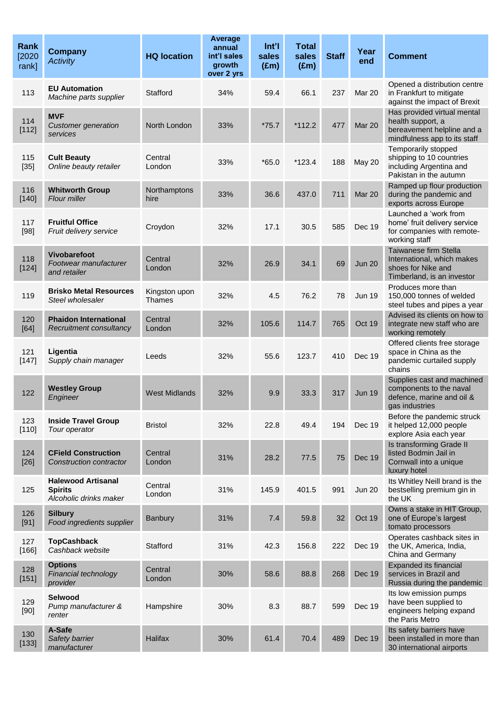| Rank<br>[2020]<br>rank] | <b>Company</b><br><b>Activity</b>                                     | <b>HQ location</b>             | Average<br>annual<br>int'l sales<br>growth<br>over 2 yrs | Int'l<br>sales<br>$(\text{Em})$ | <b>Total</b><br>sales<br>$(\text{Em})$ | <b>Staff</b> | Year<br>end   | <b>Comment</b>                                                                                                 |
|-------------------------|-----------------------------------------------------------------------|--------------------------------|----------------------------------------------------------|---------------------------------|----------------------------------------|--------------|---------------|----------------------------------------------------------------------------------------------------------------|
| 113                     | <b>EU Automation</b><br>Machine parts supplier                        | Stafford                       | 34%                                                      | 59.4                            | 66.1                                   | 237          | Mar 20        | Opened a distribution centre<br>in Frankfurt to mitigate<br>against the impact of Brexit                       |
| 114<br>[112]            | <b>MVF</b><br><b>Customer generation</b><br>services                  | North London                   | 33%                                                      | $*75.7$                         | $*112.2$                               | 477          | Mar 20        | Has provided virtual mental<br>health support, a<br>bereavement helpline and a<br>mindfulness app to its staff |
| 115<br>$[35]$           | <b>Cult Beauty</b><br>Online beauty retailer                          | Central<br>London              | 33%                                                      | $*65.0$                         | $*123.4$                               | 188          | <b>May 20</b> | Temporarily stopped<br>shipping to 10 countries<br>including Argentina and<br>Pakistan in the autumn           |
| 116<br>[140]            | <b>Whitworth Group</b><br>Flour miller                                | Northamptons<br>hire           | 33%                                                      | 36.6                            | 437.0                                  | 711          | Mar 20        | Ramped up flour production<br>during the pandemic and<br>exports across Europe                                 |
| 117<br>$[98]$           | <b>Fruitful Office</b><br>Fruit delivery service                      | Croydon                        | 32%                                                      | 17.1                            | 30.5                                   | 585          | Dec 19        | Launched a 'work from<br>home' fruit delivery service<br>for companies with remote-<br>working staff           |
| 118<br>[124]            | <b>Vivobarefoot</b><br>Footwear manufacturer<br>and retailer          | Central<br>London              | 32%                                                      | 26.9                            | 34.1                                   | 69           | <b>Jun 20</b> | Taiwanese firm Stella<br>International, which makes<br>shoes for Nike and<br>Timberland, is an investor        |
| 119                     | <b>Brisko Metal Resources</b><br>Steel wholesaler                     | Kingston upon<br><b>Thames</b> | 32%                                                      | 4.5                             | 76.2                                   | 78           | <b>Jun 19</b> | Produces more than<br>150,000 tonnes of welded<br>steel tubes and pipes a year                                 |
| 120<br>$[64]$           | <b>Phaidon International</b><br>Recruitment consultancy               | Central<br>London              | 32%                                                      | 105.6                           | 114.7                                  | 765          | Oct 19        | Advised its clients on how to<br>integrate new staff who are<br>working remotely                               |
| 121<br>$[147]$          | Ligentia<br>Supply chain manager                                      | Leeds                          | 32%                                                      | 55.6                            | 123.7                                  | 410          | Dec 19        | Offered clients free storage<br>space in China as the<br>pandemic curtailed supply<br>chains                   |
| 122                     | <b>Westley Group</b><br>Engineer                                      | <b>West Midlands</b>           | 32%                                                      | 9.9                             | 33.3                                   | 317          | <b>Jun 19</b> | Supplies cast and machined<br>components to the naval<br>defence, marine and oil &<br>gas industries           |
| 123<br>[110]            | <b>Inside Travel Group</b><br>Tour operator                           | <b>Bristol</b>                 | 32%                                                      | 22.8                            | 49.4                                   | 194          | Dec 19        | Before the pandemic struck<br>it helped 12,000 people<br>explore Asia each year                                |
| 124<br>$[26]$           | <b>CField Construction</b><br>Construction contractor                 | Central<br>London              | 31%                                                      | 28.2                            | 77.5                                   | 75           | <b>Dec 19</b> | Is transforming Grade II<br>listed Bodmin Jail in<br>Cornwall into a unique<br>luxury hotel                    |
| 125                     | <b>Halewood Artisanal</b><br><b>Spirits</b><br>Alcoholic drinks maker | Central<br>London              | 31%                                                      | 145.9                           | 401.5                                  | 991          | <b>Jun 20</b> | Its Whitley Neill brand is the<br>bestselling premium gin in<br>the UK                                         |
| 126<br>[91]             | <b>Silbury</b><br>Food ingredients supplier                           | <b>Banbury</b>                 | 31%                                                      | 7.4                             | 59.8                                   | 32           | Oct 19        | Owns a stake in HIT Group,<br>one of Europe's largest<br>tomato processors                                     |
| 127<br>[166]            | <b>TopCashback</b><br>Cashback website                                | Stafford                       | 31%                                                      | 42.3                            | 156.8                                  | 222          | Dec 19        | Operates cashback sites in<br>the UK, America, India,<br>China and Germany                                     |
| 128<br>$[151]$          | <b>Options</b><br>Financial technology<br>provider                    | Central<br>London              | 30%                                                      | 58.6                            | 88.8                                   | 268          | Dec 19        | Expanded its financial<br>services in Brazil and<br>Russia during the pandemic                                 |
| 129<br>[90]             | Selwood<br>Pump manufacturer &<br>renter                              | Hampshire                      | 30%                                                      | 8.3                             | 88.7                                   | 599          | Dec 19        | Its low emission pumps<br>have been supplied to<br>engineers helping expand<br>the Paris Metro                 |
| 130<br>[133]            | A-Safe<br>Safety barrier<br>manufacturer                              | Halifax                        | 30%                                                      | 61.4                            | 70.4                                   | 489          | <b>Dec 19</b> | Its safety barriers have<br>been installed in more than<br>30 international airports                           |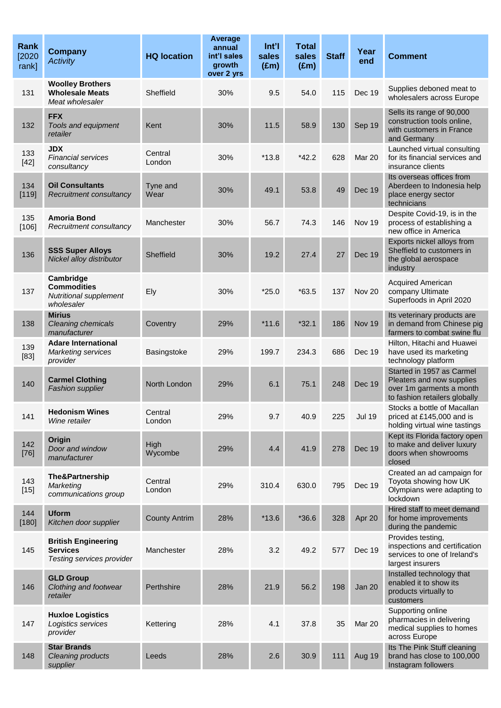| <b>Rank</b><br>[2020]<br>rank] | <b>Company</b><br><b>Activity</b>                                              | <b>HQ location</b>   | Average<br>annual<br>int'l sales<br>growth<br>over 2 yrs | Int'l<br>sales<br>$(\text{Em})$ | <b>Total</b><br>sales<br>$(\text{Em})$ | <b>Staff</b> | Year<br>end   | <b>Comment</b>                                                                                                      |
|--------------------------------|--------------------------------------------------------------------------------|----------------------|----------------------------------------------------------|---------------------------------|----------------------------------------|--------------|---------------|---------------------------------------------------------------------------------------------------------------------|
| 131                            | <b>Woolley Brothers</b><br><b>Wholesale Meats</b><br>Meat wholesaler           | Sheffield            | 30%                                                      | 9.5                             | 54.0                                   | 115          | Dec 19        | Supplies deboned meat to<br>wholesalers across Europe                                                               |
| 132                            | <b>FFX</b><br>Tools and equipment<br>retailer                                  | Kent                 | 30%                                                      | 11.5                            | 58.9                                   | 130          | Sep 19        | Sells its range of 90,000<br>construction tools online,<br>with customers in France<br>and Germany                  |
| 133<br>$[42]$                  | <b>JDX</b><br><b>Financial services</b><br>consultancy                         | Central<br>London    | 30%                                                      | $*13.8$                         | $*42.2$                                | 628          | Mar 20        | Launched virtual consulting<br>for its financial services and<br>insurance clients                                  |
| 134<br>[119]                   | <b>Oil Consultants</b><br>Recruitment consultancy                              | Tyne and<br>Wear     | 30%                                                      | 49.1                            | 53.8                                   | 49           | Dec 19        | Its overseas offices from<br>Aberdeen to Indonesia help<br>place energy sector<br>technicians                       |
| 135<br>[106]                   | <b>Amoria Bond</b><br>Recruitment consultancy                                  | Manchester           | 30%                                                      | 56.7                            | 74.3                                   | 146          | Nov 19        | Despite Covid-19, is in the<br>process of establishing a<br>new office in America                                   |
| 136                            | <b>SSS Super Alloys</b><br>Nickel alloy distributor                            | Sheffield            | 30%                                                      | 19.2                            | 27.4                                   | 27           | Dec 19        | Exports nickel alloys from<br>Sheffield to customers in<br>the global aerospace<br>industry                         |
| 137                            | Cambridge<br><b>Commodities</b><br><b>Nutritional supplement</b><br>wholesaler | Ely                  | 30%                                                      | $*25.0$                         | $*63.5$                                | 137          | Nov 20        | <b>Acquired American</b><br>company Ultimate<br>Superfoods in April 2020                                            |
| 138                            | <b>Mirius</b><br><b>Cleaning chemicals</b><br>manufacturer                     | Coventry             | 29%                                                      | $*11.6$                         | $*32.1$                                | 186          | Nov 19        | Its veterinary products are<br>in demand from Chinese pig<br>farmers to combat swine flu                            |
| 139<br>$[83]$                  | <b>Adare International</b><br><b>Marketing services</b><br>provider            | Basingstoke          | 29%                                                      | 199.7                           | 234.3                                  | 686          | Dec 19        | Hilton, Hitachi and Huawei<br>have used its marketing<br>technology platform                                        |
| 140                            | <b>Carmel Clothing</b><br><b>Fashion supplier</b>                              | North London         | 29%                                                      | 6.1                             | 75.1                                   | 248          | Dec 19        | Started in 1957 as Carmel<br>Pleaters and now supplies<br>over 1m garments a month<br>to fashion retailers globally |
| 141                            | <b>Hedonism Wines</b><br>Wine retailer                                         | Central<br>London    | 29%                                                      | 9.7                             | 40.9                                   | 225          | <b>Jul 19</b> | Stocks a bottle of Macallan<br>priced at £145,000 and is<br>holding virtual wine tastings                           |
| 142<br>$[76]$                  | Origin<br>Door and window<br>manufacturer                                      | High<br>Wycombe      | 29%                                                      | 4.4                             | 41.9                                   | 278          | Dec 19        | Kept its Florida factory open<br>to make and deliver luxury<br>doors when showrooms<br>closed                       |
| 143<br>$[15]$                  | <b>The&amp;Partnership</b><br>Marketing<br>communications group                | Central<br>London    | 29%                                                      | 310.4                           | 630.0                                  | 795          | Dec 19        | Created an ad campaign for<br>Toyota showing how UK<br>Olympians were adapting to<br>lockdown                       |
| 144<br>[180]                   | <b>Uform</b><br>Kitchen door supplier                                          | <b>County Antrim</b> | 28%                                                      | $*13.6$                         | $*36.6$                                | 328          | Apr 20        | Hired staff to meet demand<br>for home improvements<br>during the pandemic                                          |
| 145                            | <b>British Engineering</b><br><b>Services</b><br>Testing services provider     | Manchester           | 28%                                                      | 3.2                             | 49.2                                   | 577          | Dec 19        | Provides testing,<br>inspections and certification<br>services to one of Ireland's<br>largest insurers              |
| 146                            | <b>GLD Group</b><br>Clothing and footwear<br>retailer                          | Perthshire           | 28%                                                      | 21.9                            | 56.2                                   | 198          | Jan 20        | Installed technology that<br>enabled it to show its<br>products virtually to<br>customers                           |
| 147                            | <b>Huxloe Logistics</b><br>Logistics services<br>provider                      | Kettering            | 28%                                                      | 4.1                             | 37.8                                   | 35           | Mar 20        | Supporting online<br>pharmacies in delivering<br>medical supplies to homes<br>across Europe                         |
| 148                            | <b>Star Brands</b><br><b>Cleaning products</b><br>supplier                     | Leeds                | 28%                                                      | 2.6                             | 30.9                                   | 111          | Aug 19        | Its The Pink Stuff cleaning<br>brand has close to 100,000<br>Instagram followers                                    |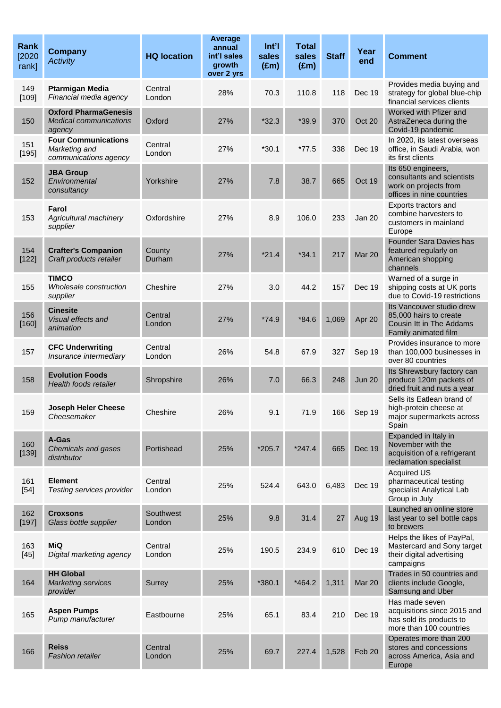| Rank<br>[2020]<br>rank] | <b>Company</b><br><b>Activity</b>                                    | <b>HQ location</b>  | Average<br>annual<br>int'l sales<br>growth<br>over 2 yrs | $Int$ <sup>'</sup><br>sales<br>$(\text{Em})$ | <b>Total</b><br>sales<br>(Em) | <b>Staff</b> | Year<br>end   | <b>Comment</b>                                                                                          |
|-------------------------|----------------------------------------------------------------------|---------------------|----------------------------------------------------------|----------------------------------------------|-------------------------------|--------------|---------------|---------------------------------------------------------------------------------------------------------|
| 149<br>[109]            | <b>Ptarmigan Media</b><br>Financial media agency                     | Central<br>London   | 28%                                                      | 70.3                                         | 110.8                         | 118          | Dec 19        | Provides media buying and<br>strategy for global blue-chip<br>financial services clients                |
| 150                     | <b>Oxford PharmaGenesis</b><br>Medical communications<br>agency      | Oxford              | 27%                                                      | $*32.3$                                      | *39.9                         | 370          | Oct 20        | Worked with Pfizer and<br>AstraZeneca during the<br>Covid-19 pandemic                                   |
| 151<br>[195]            | <b>Four Communications</b><br>Marketing and<br>communications agency | Central<br>London   | 27%                                                      | $*30.1$                                      | $*77.5$                       | 338          | Dec 19        | In 2020, its latest overseas<br>office, in Saudi Arabia, won<br>its first clients                       |
| 152                     | <b>JBA Group</b><br>Environmental<br>consultancy                     | Yorkshire           | 27%                                                      | 7.8                                          | 38.7                          | 665          | Oct 19        | Its 650 engineers,<br>consultants and scientists<br>work on projects from<br>offices in nine countries  |
| 153                     | Farol<br>Agricultural machinery<br>supplier                          | Oxfordshire         | 27%                                                      | 8.9                                          | 106.0                         | 233          | Jan 20        | Exports tractors and<br>combine harvesters to<br>customers in mainland<br>Europe                        |
| 154<br>[122]            | <b>Crafter's Companion</b><br>Craft products retailer                | County<br>Durham    | 27%                                                      | $*21.4$                                      | $*34.1$                       | 217          | Mar 20        | Founder Sara Davies has<br>featured regularly on<br>American shopping<br>channels                       |
| 155                     | <b>TIMCO</b><br>Wholesale construction<br>supplier                   | Cheshire            | 27%                                                      | 3.0                                          | 44.2                          | 157          | Dec 19        | Warned of a surge in<br>shipping costs at UK ports<br>due to Covid-19 restrictions                      |
| 156<br>[160]            | <b>Cinesite</b><br>Visual effects and<br>animation                   | Central<br>London   | 27%                                                      | $*74.9$                                      | $*84.6$                       | 1,069        | Apr 20        | Its Vancouver studio drew<br>85,000 hairs to create<br>Cousin Itt in The Addams<br>Family animated film |
| 157                     | <b>CFC Underwriting</b><br>Insurance intermediary                    | Central<br>London   | 26%                                                      | 54.8                                         | 67.9                          | 327          | Sep 19        | Provides insurance to more<br>than 100,000 businesses in<br>over 80 countries                           |
| 158                     | <b>Evolution Foods</b><br>Health foods retailer                      | Shropshire          | 26%                                                      | 7.0                                          | 66.3                          | 248          | <b>Jun 20</b> | Its Shrewsbury factory can<br>produce 120m packets of<br>dried fruit and nuts a year                    |
| 159                     | <b>Joseph Heler Cheese</b><br>Cheesemaker                            | Cheshire            | 26%                                                      | 9.1                                          | 71.9                          | 166          | Sep 19        | Sells its Eatlean brand of<br>high-protein cheese at<br>major supermarkets across<br>Spain              |
| 160<br>[139]            | A-Gas<br>Chemicals and gases<br>distributor                          | Portishead          | 25%                                                      | $*205.7$                                     | $*247.4$                      | 665          | <b>Dec 19</b> | Expanded in Italy in<br>November with the<br>acquisition of a refrigerant<br>reclamation specialist     |
| 161<br>$[54]$           | <b>Element</b><br>Testing services provider                          | Central<br>London   | 25%                                                      | 524.4                                        | 643.0                         | 6,483        | <b>Dec 19</b> | <b>Acquired US</b><br>pharmaceutical testing<br>specialist Analytical Lab<br>Group in July              |
| 162<br>[197]            | <b>Croxsons</b><br>Glass bottle supplier                             | Southwest<br>London | 25%                                                      | 9.8                                          | 31.4                          | 27           | Aug 19        | Launched an online store<br>last year to sell bottle caps<br>to brewers                                 |
| 163<br>$[45]$           | <b>MiQ</b><br>Digital marketing agency                               | Central<br>London   | 25%                                                      | 190.5                                        | 234.9                         | 610          | <b>Dec 19</b> | Helps the likes of PayPal,<br>Mastercard and Sony target<br>their digital advertising<br>campaigns      |
| 164                     | <b>HH Global</b><br><b>Marketing services</b><br>provider            | Surrey              | 25%                                                      | *380.1                                       | $*464.2$                      | 1,311        | Mar 20        | Trades in 50 countries and<br>clients include Google,<br>Samsung and Uber                               |
| 165                     | <b>Aspen Pumps</b><br>Pump manufacturer                              | Eastbourne          | 25%                                                      | 65.1                                         | 83.4                          | 210          | Dec 19        | Has made seven<br>acquisitions since 2015 and<br>has sold its products to<br>more than 100 countries    |
| 166                     | <b>Reiss</b><br><b>Fashion retailer</b>                              | Central<br>London   | 25%                                                      | 69.7                                         | 227.4                         | 1,528        | Feb 20        | Operates more than 200<br>stores and concessions<br>across America, Asia and<br>Europe                  |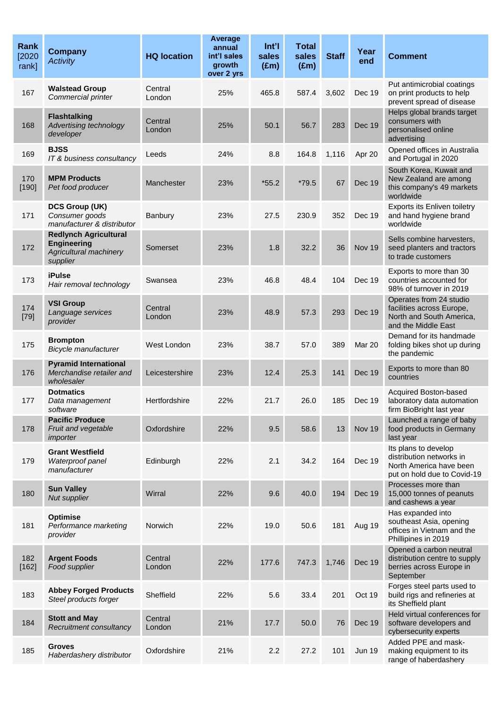| <b>Rank</b><br>[2020]<br>rank] | <b>Company</b><br><b>Activity</b>                                                        | <b>HQ location</b> | Average<br>annual<br>int'l sales<br>growth<br>over 2 yrs | Int'l<br>sales<br>$(\text{Em})$ | <b>Total</b><br>sales<br>$(\text{Em})$ | <b>Staff</b> | Year<br>end   | <b>Comment</b>                                                                                             |
|--------------------------------|------------------------------------------------------------------------------------------|--------------------|----------------------------------------------------------|---------------------------------|----------------------------------------|--------------|---------------|------------------------------------------------------------------------------------------------------------|
| 167                            | <b>Walstead Group</b><br>Commercial printer                                              | Central<br>London  | 25%                                                      | 465.8                           | 587.4                                  | 3,602        | Dec 19        | Put antimicrobial coatings<br>on print products to help<br>prevent spread of disease                       |
| 168                            | <b>Flashtalking</b><br>Advertising technology<br>developer                               | Central<br>London  | 25%                                                      | 50.1                            | 56.7                                   | 283          | <b>Dec 19</b> | Helps global brands target<br>consumers with<br>personalised online<br>advertising                         |
| 169                            | <b>BJSS</b><br>IT & business consultancy                                                 | Leeds              | 24%                                                      | 8.8                             | 164.8                                  | 1,116        | Apr 20        | Opened offices in Australia<br>and Portugal in 2020                                                        |
| 170<br>[190]                   | <b>MPM Products</b><br>Pet food producer                                                 | Manchester         | 23%                                                      | $*55.2$                         | *79.5                                  | 67           | Dec 19        | South Korea, Kuwait and<br>New Zealand are among<br>this company's 49 markets<br>worldwide                 |
| 171                            | <b>DCS Group (UK)</b><br>Consumer goods<br>manufacturer & distributor                    | Banbury            | 23%                                                      | 27.5                            | 230.9                                  | 352          | Dec 19        | Exports its Enliven toiletry<br>and hand hygiene brand<br>worldwide                                        |
| 172                            | <b>Redlynch Agricultural</b><br><b>Engineering</b><br>Agricultural machinery<br>supplier | Somerset           | 23%                                                      | 1.8                             | 32.2                                   | 36           | Nov 19        | Sells combine harvesters,<br>seed planters and tractors<br>to trade customers                              |
| 173                            | <b>iPulse</b><br>Hair removal technology                                                 | Swansea            | 23%                                                      | 46.8                            | 48.4                                   | 104          | Dec 19        | Exports to more than 30<br>countries accounted for<br>98% of turnover in 2019                              |
| 174<br>$[79]$                  | <b>VSI Group</b><br>Language services<br>provider                                        | Central<br>London  | 23%                                                      | 48.9                            | 57.3                                   | 293          | Dec 19        | Operates from 24 studio<br>facilities across Europe,<br>North and South America,<br>and the Middle East    |
| 175                            | <b>Brompton</b><br>Bicycle manufacturer                                                  | West London        | 23%                                                      | 38.7                            | 57.0                                   | 389          | Mar 20        | Demand for its handmade<br>folding bikes shot up during<br>the pandemic                                    |
| 176                            | <b>Pyramid International</b><br>Merchandise retailer and<br>wholesaler                   | Leicestershire     | 23%                                                      | 12.4                            | 25.3                                   | 141          | <b>Dec 19</b> | Exports to more than 80<br>countries                                                                       |
| 177                            | <b>Dotmatics</b><br>Data management<br>software                                          | Hertfordshire      | 22%                                                      | 21.7                            | 26.0                                   | 185          | Dec 19        | Acquired Boston-based<br>laboratory data automation<br>firm BioBright last year                            |
| 178                            | <b>Pacific Produce</b><br>Fruit and vegetable<br>importer                                | Oxfordshire        | 22%                                                      | 9.5                             | 58.6                                   | 13           | Nov 19        | Launched a range of baby<br>food products in Germany<br>last year                                          |
| 179                            | <b>Grant Westfield</b><br>Waterproof panel<br>manufacturer                               | Edinburgh          | 22%                                                      | 2.1                             | 34.2                                   | 164          | Dec 19        | Its plans to develop<br>distribution networks in<br>North America have been<br>put on hold due to Covid-19 |
| 180                            | <b>Sun Valley</b><br>Nut supplier                                                        | Wirral             | 22%                                                      | 9.6                             | 40.0                                   | 194          | Dec 19        | Processes more than<br>15,000 tonnes of peanuts<br>and cashews a year                                      |
| 181                            | Optimise<br>Performance marketing<br>provider                                            | Norwich            | 22%                                                      | 19.0                            | 50.6                                   | 181          | Aug 19        | Has expanded into<br>southeast Asia, opening<br>offices in Vietnam and the<br>Phillipines in 2019          |
| 182<br>[162]                   | <b>Argent Foods</b><br>Food supplier                                                     | Central<br>London  | 22%                                                      | 177.6                           | 747.3                                  | 1,746        | Dec 19        | Opened a carbon neutral<br>distribution centre to supply<br>berries across Europe in<br>September          |
| 183                            | <b>Abbey Forged Products</b><br>Steel products forger                                    | Sheffield          | 22%                                                      | 5.6                             | 33.4                                   | 201          | Oct 19        | Forges steel parts used to<br>build rigs and refineries at<br>its Sheffield plant                          |
| 184                            | <b>Stott and May</b><br>Recruitment consultancy                                          | Central<br>London  | 21%                                                      | 17.7                            | 50.0                                   | 76           | Dec 19        | Held virtual conferences for<br>software developers and<br>cybersecurity experts                           |
| 185                            | <b>Groves</b><br>Haberdashery distributor                                                | Oxfordshire        | 21%                                                      | 2.2                             | 27.2                                   | 101          | <b>Jun 19</b> | Added PPE and mask-<br>making equipment to its<br>range of haberdashery                                    |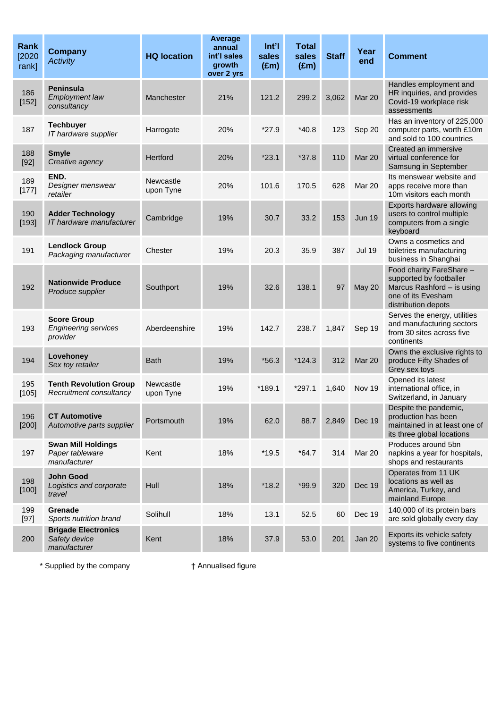| <b>Rank</b><br>[2020]<br>rank] | <b>Company</b><br><b>Activity</b>                             | <b>HQ location</b>     | <b>Average</b><br>annual<br>int'l sales<br>growth<br>over 2 yrs | $Int$ <sup>'</sup><br>sales<br>$(\text{Em})$ | <b>Total</b><br>sales<br>$(\text{Em})$ | <b>Staff</b> | Year<br>end   | <b>Comment</b>                                                                                                                 |
|--------------------------------|---------------------------------------------------------------|------------------------|-----------------------------------------------------------------|----------------------------------------------|----------------------------------------|--------------|---------------|--------------------------------------------------------------------------------------------------------------------------------|
| 186<br>[152]                   | <b>Peninsula</b><br><b>Employment law</b><br>consultancy      | Manchester             | 21%                                                             | 121.2                                        | 299.2                                  | 3,062        | Mar 20        | Handles employment and<br>HR inquiries, and provides<br>Covid-19 workplace risk<br>assessments                                 |
| 187                            | <b>Techbuyer</b><br>IT hardware supplier                      | Harrogate              | 20%                                                             | $*27.9$                                      | $*40.8$                                | 123          | Sep 20        | Has an inventory of 225,000<br>computer parts, worth £10m<br>and sold to 100 countries                                         |
| 188<br>$[92]$                  | <b>Smyle</b><br>Creative agency                               | Hertford               | 20%                                                             | $*23.1$                                      | $*37.8$                                | 110          | Mar 20        | Created an immersive<br>virtual conference for<br>Samsung in September                                                         |
| 189<br>[177]                   | END.<br>Designer menswear<br>retailer                         | Newcastle<br>upon Tyne | 20%                                                             | 101.6                                        | 170.5                                  | 628          | Mar 20        | Its menswear website and<br>apps receive more than<br>10m visitors each month                                                  |
| 190<br>[193]                   | <b>Adder Technology</b><br>IT hardware manufacturer           | Cambridge              | 19%                                                             | 30.7                                         | 33.2                                   | 153          | <b>Jun 19</b> | Exports hardware allowing<br>users to control multiple<br>computers from a single<br>keyboard                                  |
| 191                            | <b>Lendlock Group</b><br>Packaging manufacturer               | Chester                | 19%                                                             | 20.3                                         | 35.9                                   | 387          | <b>Jul 19</b> | Owns a cosmetics and<br>toiletries manufacturing<br>business in Shanghai                                                       |
| 192                            | <b>Nationwide Produce</b><br>Produce supplier                 | Southport              | 19%                                                             | 32.6                                         | 138.1                                  | 97           | <b>May 20</b> | Food charity FareShare -<br>supported by footballer<br>Marcus Rashford - is using<br>one of its Evesham<br>distribution depots |
| 193                            | <b>Score Group</b><br><b>Engineering services</b><br>provider | Aberdeenshire          | 19%                                                             | 142.7                                        | 238.7                                  | 1,847        | Sep 19        | Serves the energy, utilities<br>and manufacturing sectors<br>from 30 sites across five<br>continents                           |
| 194                            | Lovehoney<br>Sex toy retailer                                 | <b>Bath</b>            | 19%                                                             | $*56.3$                                      | $*124.3$                               | 312          | Mar 20        | Owns the exclusive rights to<br>produce Fifty Shades of<br>Grey sex toys                                                       |
| 195<br>$[105]$                 | <b>Tenth Revolution Group</b><br>Recruitment consultancy      | Newcastle<br>upon Tyne | 19%                                                             | *189.1                                       | $*297.1$                               | 1,640        | Nov 19        | Opened its latest<br>international office, in<br>Switzerland, in January                                                       |
| 196<br>$[200]$                 | <b>CT Automotive</b><br>Automotive parts supplier             | Portsmouth             | 19%                                                             | 62.0                                         | 88.7                                   | 2,849        | Dec 19        | Despite the pandemic,<br>production has been<br>maintained in at least one of<br>its three global locations                    |
| 197                            | <b>Swan Mill Holdings</b><br>Paper tableware<br>manufacturer  | Kent                   | 18%                                                             | $*19.5$                                      | $*64.7$                                | 314          | <b>Mar 20</b> | Produces around 5bn<br>napkins a year for hospitals,<br>shops and restaurants                                                  |
| 198<br>[100]                   | <b>John Good</b><br>Logistics and corporate<br>travel         | Hull                   | 18%                                                             | $*18.2$                                      | $*99.9$                                | 320          | Dec 19        | Operates from 11 UK<br>locations as well as<br>America, Turkey, and<br>mainland Europe                                         |
| 199<br>$[97]$                  | Grenade<br>Sports nutrition brand                             | Solihull               | 18%                                                             | 13.1                                         | 52.5                                   | 60           | Dec 19        | 140,000 of its protein bars<br>are sold globally every day                                                                     |
| 200                            | <b>Brigade Electronics</b><br>Safety device<br>manufacturer   | Kent                   | 18%                                                             | 37.9                                         | 53.0                                   | 201          | Jan 20        | Exports its vehicle safety<br>systems to five continents                                                                       |

\* Supplied by the company † Annualised figure